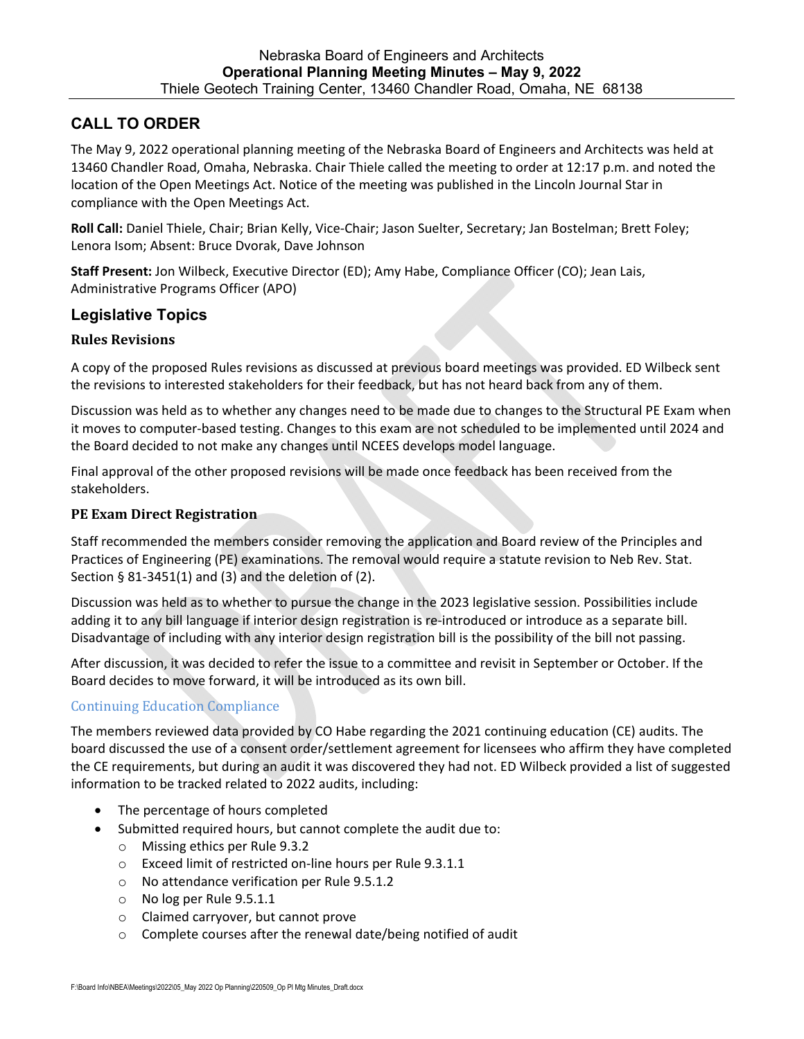# **CALL TO ORDER**

The May 9, 2022 operational planning meeting of the Nebraska Board of Engineers and Architects was held at 13460 Chandler Road, Omaha, Nebraska. Chair Thiele called the meeting to order at 12:17 p.m. and noted the location of the Open Meetings Act. Notice of the meeting was published in the Lincoln Journal Star in compliance with the Open Meetings Act.

**Roll Call:** Daniel Thiele, Chair; Brian Kelly, Vice‐Chair; Jason Suelter, Secretary; Jan Bostelman; Brett Foley; Lenora Isom; Absent: Bruce Dvorak, Dave Johnson

**Staff Present:** Jon Wilbeck, Executive Director (ED); Amy Habe, Compliance Officer (CO); Jean Lais, Administrative Programs Officer (APO)

## **Legislative Topics**

### **Rules Revisions**

A copy of the proposed Rules revisions as discussed at previous board meetings was provided. ED Wilbeck sent the revisions to interested stakeholders for their feedback, but has not heard back from any of them.

Discussion was held as to whether any changes need to be made due to changes to the Structural PE Exam when it moves to computer‐based testing. Changes to this exam are not scheduled to be implemented until 2024 and the Board decided to not make any changes until NCEES develops model language.

Final approval of the other proposed revisions will be made once feedback has been received from the stakeholders.

### **PE Exam Direct Registration**

Staff recommended the members consider removing the application and Board review of the Principles and Practices of Engineering (PE) examinations. The removal would require a statute revision to Neb Rev. Stat. Section § 81‐3451(1) and (3) and the deletion of (2).

Discussion was held as to whether to pursue the change in the 2023 legislative session. Possibilities include adding it to any bill language if interior design registration is re-introduced or introduce as a separate bill. Disadvantage of including with any interior design registration bill is the possibility of the bill not passing.

After discussion, it was decided to refer the issue to a committee and revisit in September or October. If the Board decides to move forward, it will be introduced as its own bill.

## Continuing Education Compliance

The members reviewed data provided by CO Habe regarding the 2021 continuing education (CE) audits. The board discussed the use of a consent order/settlement agreement for licensees who affirm they have completed the CE requirements, but during an audit it was discovered they had not. ED Wilbeck provided a list of suggested information to be tracked related to 2022 audits, including:

- The percentage of hours completed
- Submitted required hours, but cannot complete the audit due to:
	- o Missing ethics per Rule 9.3.2
	- o Exceed limit of restricted on‐line hours per Rule 9.3.1.1
	- o No attendance verification per Rule 9.5.1.2
	- o No log per Rule 9.5.1.1
	- o Claimed carryover, but cannot prove
	- o Complete courses after the renewal date/being notified of audit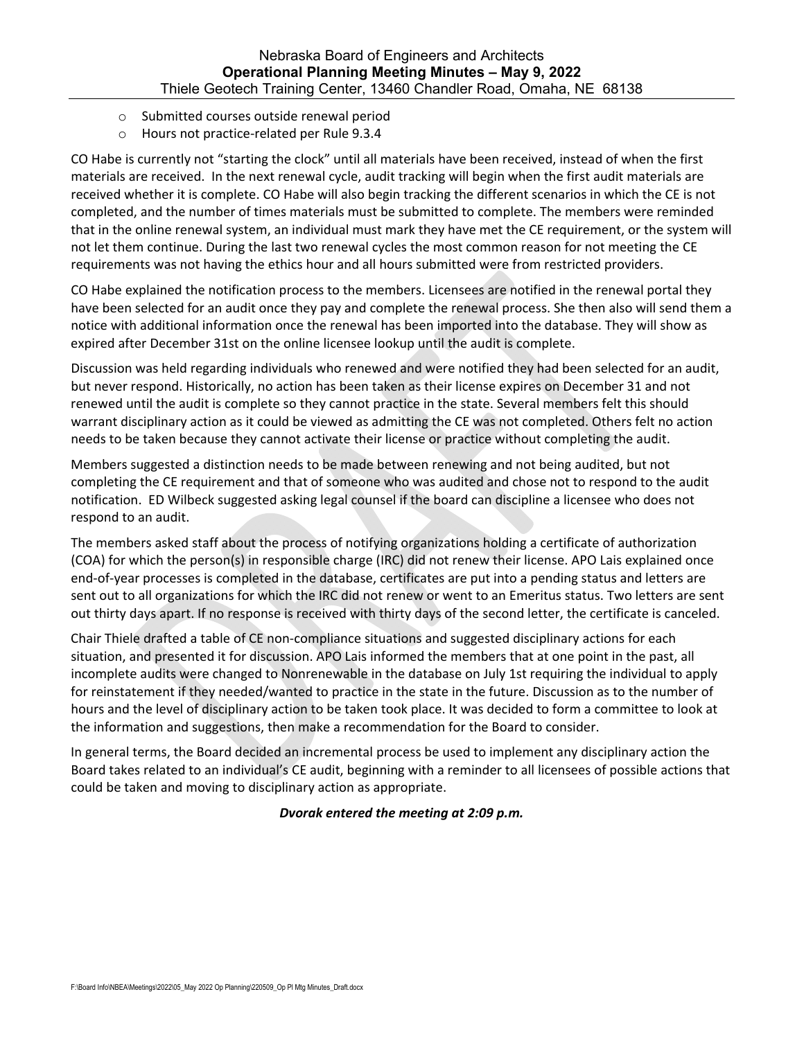- o Submitted courses outside renewal period
- o Hours not practice‐related per Rule 9.3.4

CO Habe is currently not "starting the clock" until all materials have been received, instead of when the first materials are received. In the next renewal cycle, audit tracking will begin when the first audit materials are received whether it is complete. CO Habe will also begin tracking the different scenarios in which the CE is not completed, and the number of times materials must be submitted to complete. The members were reminded that in the online renewal system, an individual must mark they have met the CE requirement, or the system will not let them continue. During the last two renewal cycles the most common reason for not meeting the CE requirements was not having the ethics hour and all hours submitted were from restricted providers.

CO Habe explained the notification process to the members. Licensees are notified in the renewal portal they have been selected for an audit once they pay and complete the renewal process. She then also will send them a notice with additional information once the renewal has been imported into the database. They will show as expired after December 31st on the online licensee lookup until the audit is complete.

Discussion was held regarding individuals who renewed and were notified they had been selected for an audit, but never respond. Historically, no action has been taken as their license expires on December 31 and not renewed until the audit is complete so they cannot practice in the state. Several members felt this should warrant disciplinary action as it could be viewed as admitting the CE was not completed. Others felt no action needs to be taken because they cannot activate their license or practice without completing the audit.

Members suggested a distinction needs to be made between renewing and not being audited, but not completing the CE requirement and that of someone who was audited and chose not to respond to the audit notification. ED Wilbeck suggested asking legal counsel if the board can discipline a licensee who does not respond to an audit.

The members asked staff about the process of notifying organizations holding a certificate of authorization (COA) for which the person(s) in responsible charge (IRC) did not renew their license. APO Lais explained once end‐of‐year processes is completed in the database, certificates are put into a pending status and letters are sent out to all organizations for which the IRC did not renew or went to an Emeritus status. Two letters are sent out thirty days apart. If no response is received with thirty days of the second letter, the certificate is canceled.

Chair Thiele drafted a table of CE non‐compliance situations and suggested disciplinary actions for each situation, and presented it for discussion. APO Lais informed the members that at one point in the past, all incomplete audits were changed to Nonrenewable in the database on July 1st requiring the individual to apply for reinstatement if they needed/wanted to practice in the state in the future. Discussion as to the number of hours and the level of disciplinary action to be taken took place. It was decided to form a committee to look at the information and suggestions, then make a recommendation for the Board to consider.

In general terms, the Board decided an incremental process be used to implement any disciplinary action the Board takes related to an individual's CE audit, beginning with a reminder to all licensees of possible actions that could be taken and moving to disciplinary action as appropriate.

### *Dvorak entered the meeting at 2:09 p.m.*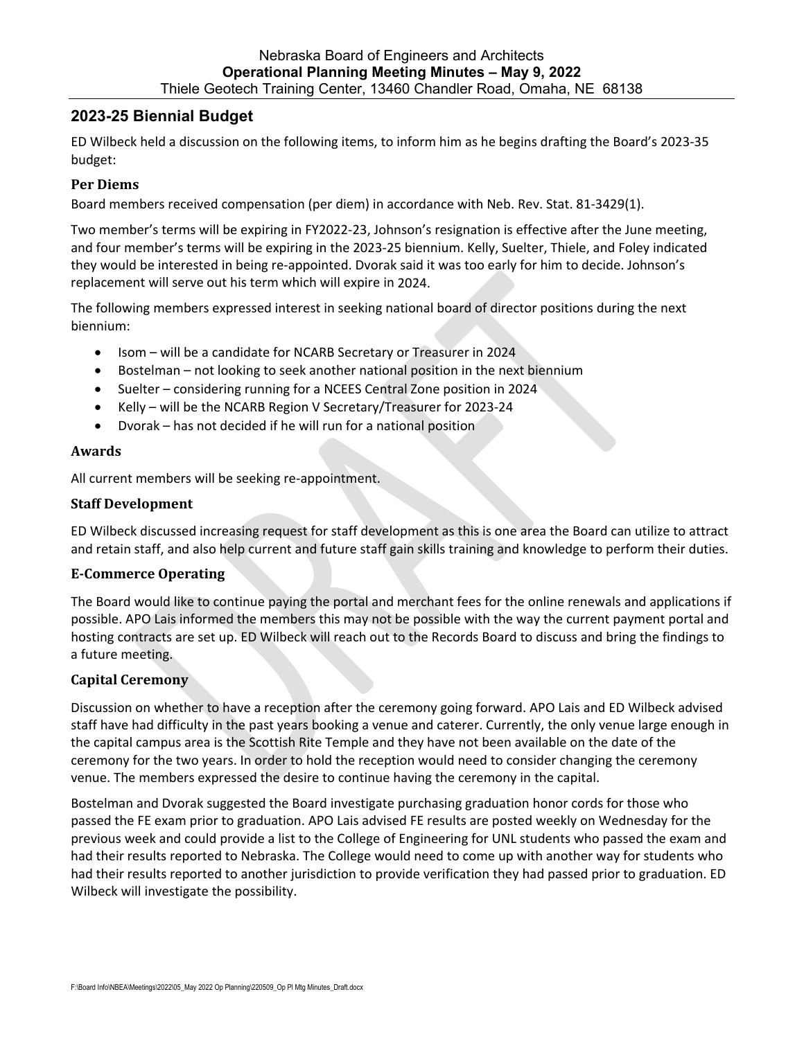## **2023-25 Biennial Budget**

ED Wilbeck held a discussion on the following items, to inform him as he begins drafting the Board's 2023‐35 budget:

### **Per Diems**

Board members received compensation (per diem) in accordance with Neb. Rev. Stat. 81‐3429(1).

Two member's terms will be expiring in FY2022‐23, Johnson's resignation is effective after the June meeting, and four member's terms will be expiring in the 2023‐25 biennium. Kelly, Suelter, Thiele, and Foley indicated they would be interested in being re‐appointed. Dvorak said it was too early for him to decide. Johnson's replacement will serve out his term which will expire in 2024.

The following members expressed interest in seeking national board of director positions during the next biennium:

- Isom will be a candidate for NCARB Secretary or Treasurer in 2024
- Bostelman not looking to seek another national position in the next biennium
- Suelter considering running for a NCEES Central Zone position in 2024
- Kelly will be the NCARB Region V Secretary/Treasurer for 2023-24
- Dvorak has not decided if he will run for a national position

### **Awards**

All current members will be seeking re‐appointment.

### **Staff Development**

ED Wilbeck discussed increasing request for staff development as this is one area the Board can utilize to attract and retain staff, and also help current and future staff gain skills training and knowledge to perform their duties.

### **E‐Commerce Operating**

The Board would like to continue paying the portal and merchant fees for the online renewals and applications if possible. APO Lais informed the members this may not be possible with the way the current payment portal and hosting contracts are set up. ED Wilbeck will reach out to the Records Board to discuss and bring the findings to a future meeting.

### **Capital Ceremony**

Discussion on whether to have a reception after the ceremony going forward. APO Lais and ED Wilbeck advised staff have had difficulty in the past years booking a venue and caterer. Currently, the only venue large enough in the capital campus area is the Scottish Rite Temple and they have not been available on the date of the ceremony for the two years. In order to hold the reception would need to consider changing the ceremony venue. The members expressed the desire to continue having the ceremony in the capital.

Bostelman and Dvorak suggested the Board investigate purchasing graduation honor cords for those who passed the FE exam prior to graduation. APO Lais advised FE results are posted weekly on Wednesday for the previous week and could provide a list to the College of Engineering for UNL students who passed the exam and had their results reported to Nebraska. The College would need to come up with another way for students who had their results reported to another jurisdiction to provide verification they had passed prior to graduation. ED Wilbeck will investigate the possibility.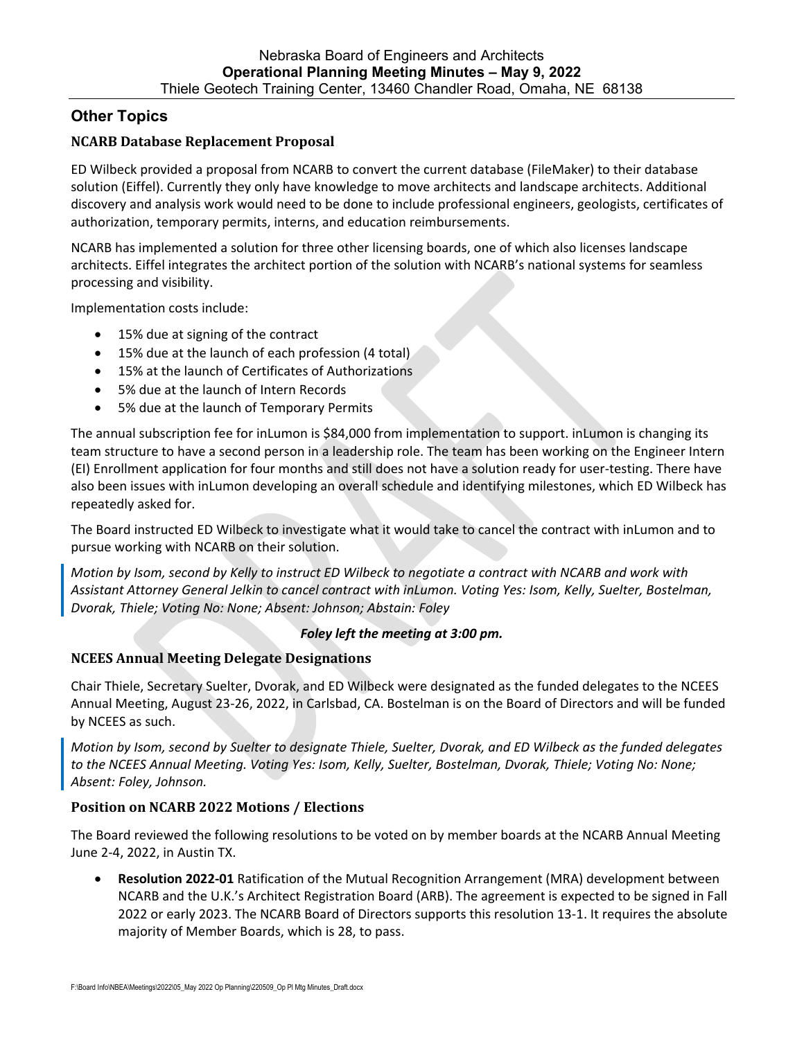# **Other Topics**

## **NCARB Database Replacement Proposal**

ED Wilbeck provided a proposal from NCARB to convert the current database (FileMaker) to their database solution (Eiffel). Currently they only have knowledge to move architects and landscape architects. Additional discovery and analysis work would need to be done to include professional engineers, geologists, certificates of authorization, temporary permits, interns, and education reimbursements.

NCARB has implemented a solution for three other licensing boards, one of which also licenses landscape architects. Eiffel integrates the architect portion of the solution with NCARB's national systems for seamless processing and visibility.

Implementation costs include:

- 15% due at signing of the contract
- 15% due at the launch of each profession (4 total)
- 15% at the launch of Certificates of Authorizations
- 5% due at the launch of Intern Records
- 5% due at the launch of Temporary Permits

The annual subscription fee for inLumon is \$84,000 from implementation to support. inLumon is changing its team structure to have a second person in a leadership role. The team has been working on the Engineer Intern (EI) Enrollment application for four months and still does not have a solution ready for user‐testing. There have also been issues with inLumon developing an overall schedule and identifying milestones, which ED Wilbeck has repeatedly asked for.

The Board instructed ED Wilbeck to investigate what it would take to cancel the contract with inLumon and to pursue working with NCARB on their solution.

Motion by Isom, second by Kelly to instruct ED Wilbeck to negotiate a contract with NCARB and work with *Assistant Attorney General Jelkin to cancel contract with inLumon. Voting Yes: Isom, Kelly, Suelter, Bostelman, Dvorak, Thiele; Voting No: None; Absent: Johnson; Abstain: Foley*

### *Foley left the meeting at 3:00 pm.*

### **NCEES Annual Meeting Delegate Designations**

Chair Thiele, Secretary Suelter, Dvorak, and ED Wilbeck were designated as the funded delegates to the NCEES Annual Meeting, August 23‐26, 2022, in Carlsbad, CA. Bostelman is on the Board of Directors and will be funded by NCEES as such.

Motion by Isom, second by Suelter to designate Thiele, Suelter, Dvorak, and ED Wilbeck as the funded delegates *to the NCEES Annual Meeting. Voting Yes: Isom, Kelly, Suelter, Bostelman, Dvorak, Thiele; Voting No: None; Absent: Foley, Johnson.*

### **Position on NCARB 2022 Motions / Elections**

The Board reviewed the following resolutions to be voted on by member boards at the NCARB Annual Meeting June 2‐4, 2022, in Austin TX.

 **Resolution 2022‐01** Ratification of the Mutual Recognition Arrangement (MRA) development between NCARB and the U.K.'s Architect Registration Board (ARB). The agreement is expected to be signed in Fall 2022 or early 2023. The NCARB Board of Directors supports this resolution 13‐1. It requires the absolute majority of Member Boards, which is 28, to pass.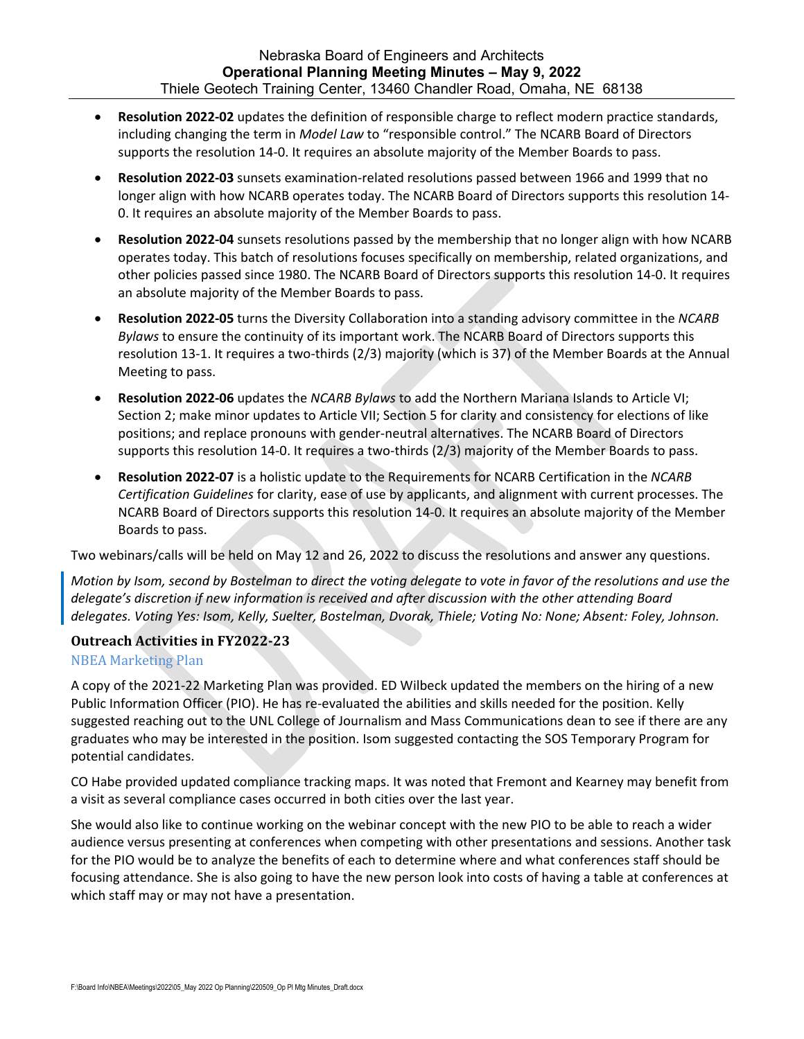- **Resolution 2022‐02** updates the definition of responsible charge to reflect modern practice standards, including changing the term in *Model Law* to "responsible control." The NCARB Board of Directors supports the resolution 14‐0. It requires an absolute majority of the Member Boards to pass.
- **Resolution 2022‐03** sunsets examination‐related resolutions passed between 1966 and 1999 that no longer align with how NCARB operates today. The NCARB Board of Directors supports this resolution 14‐ 0. It requires an absolute majority of the Member Boards to pass.
- **Resolution 2022‐04** sunsets resolutions passed by the membership that no longer align with how NCARB operates today. This batch of resolutions focuses specifically on membership, related organizations, and other policies passed since 1980. The NCARB Board of Directors supports this resolution 14‐0. It requires an absolute majority of the Member Boards to pass.
- **Resolution 2022‐05** turns the Diversity Collaboration into a standing advisory committee in the *NCARB Bylaws* to ensure the continuity of its important work. The NCARB Board of Directors supports this resolution 13‐1. It requires a two‐thirds (2/3) majority (which is 37) of the Member Boards at the Annual Meeting to pass.
- **Resolution 2022‐06** updates the *NCARB Bylaws* to add the Northern Mariana Islands to Article VI; Section 2; make minor updates to Article VII; Section 5 for clarity and consistency for elections of like positions; and replace pronouns with gender‐neutral alternatives. The NCARB Board of Directors supports this resolution 14-0. It requires a two-thirds (2/3) majority of the Member Boards to pass.
- **Resolution 2022‐07** is a holistic update to the Requirements for NCARB Certification in the *NCARB Certification Guidelines* for clarity, ease of use by applicants, and alignment with current processes. The NCARB Board of Directors supports this resolution 14‐0. It requires an absolute majority of the Member Boards to pass.

Two webinars/calls will be held on May 12 and 26, 2022 to discuss the resolutions and answer any questions.

Motion by Isom, second by Bostelman to direct the voting delegate to vote in favor of the resolutions and use the *delegate's discretion if new information is received and after discussion with the other attending Board delegates. Voting Yes: Isom, Kelly, Suelter, Bostelman, Dvorak, Thiele; Voting No: None; Absent: Foley, Johnson.*

## **Outreach Activities in FY2022‐23**

## NBEA Marketing Plan

A copy of the 2021‐22 Marketing Plan was provided. ED Wilbeck updated the members on the hiring of a new Public Information Officer (PIO). He has re-evaluated the abilities and skills needed for the position. Kelly suggested reaching out to the UNL College of Journalism and Mass Communications dean to see if there are any graduates who may be interested in the position. Isom suggested contacting the SOS Temporary Program for potential candidates.

CO Habe provided updated compliance tracking maps. It was noted that Fremont and Kearney may benefit from a visit as several compliance cases occurred in both cities over the last year.

She would also like to continue working on the webinar concept with the new PIO to be able to reach a wider audience versus presenting at conferences when competing with other presentations and sessions. Another task for the PIO would be to analyze the benefits of each to determine where and what conferences staff should be focusing attendance. She is also going to have the new person look into costs of having a table at conferences at which staff may or may not have a presentation.